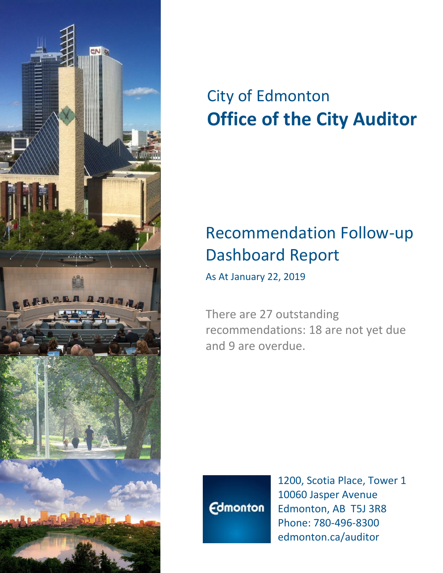

# City of Edmonton **Office of the City Auditor**

## Recommendation Follow-up Dashboard Report

As At January 22, 2019

There are 27 outstanding recommendations: 18 are not yet due and 9 are overdue.



1200, Scotia Place, Tower 1 10060 Jasper Avenue Edmonton, AB T5J 3R8 Phone: 780-496-8300 edmonton.ca/auditor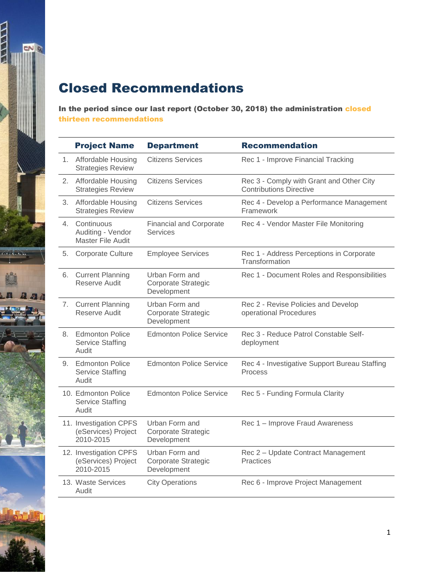### Closed Recommendations

 $\frac{1}{2}$ 

**CONTRACT** 

 $\overline{a}$ 

In the period since our last report (October 30, 2018) the administration closed thirteen recommendations

|    | <b>Project Name</b>                                        | <b>Department</b>                                    | <b>Recommendation</b>                                                      |
|----|------------------------------------------------------------|------------------------------------------------------|----------------------------------------------------------------------------|
|    | 1. Affordable Housing<br><b>Strategies Review</b>          | <b>Citizens Services</b>                             | Rec 1 - Improve Financial Tracking                                         |
|    | 2. Affordable Housing<br><b>Strategies Review</b>          | <b>Citizens Services</b>                             | Rec 3 - Comply with Grant and Other City<br><b>Contributions Directive</b> |
|    | 3. Affordable Housing<br><b>Strategies Review</b>          | Citizens Services                                    | Rec 4 - Develop a Performance Management<br>Framework                      |
|    | 4. Continuous<br>Auditing - Vendor<br>Master File Audit    | <b>Financial and Corporate</b><br><b>Services</b>    | Rec 4 - Vendor Master File Monitoring                                      |
| 5. | Corporate Culture                                          | <b>Employee Services</b>                             | Rec 1 - Address Perceptions in Corporate<br>Transformation                 |
| 6. | <b>Current Planning</b><br>Reserve Audit                   | Urban Form and<br>Corporate Strategic<br>Development | Rec 1 - Document Roles and Responsibilities                                |
|    | 7. Current Planning<br>Reserve Audit                       | Urban Form and<br>Corporate Strategic<br>Development | Rec 2 - Revise Policies and Develop<br>operational Procedures              |
|    | 8. Edmonton Police<br><b>Service Staffing</b><br>Audit     | <b>Edmonton Police Service</b>                       | Rec 3 - Reduce Patrol Constable Self-<br>deployment                        |
|    | 9. Edmonton Police<br><b>Service Staffing</b><br>Audit     | <b>Edmonton Police Service</b>                       | Rec 4 - Investigative Support Bureau Staffing<br><b>Process</b>            |
|    | 10. Edmonton Police<br><b>Service Staffing</b><br>Audit    | <b>Edmonton Police Service</b>                       | Rec 5 - Funding Formula Clarity                                            |
|    | 11. Investigation CPFS<br>(eServices) Project<br>2010-2015 | Urban Form and<br>Corporate Strategic<br>Development | Rec 1 - Improve Fraud Awareness                                            |
|    | 12. Investigation CPFS<br>(eServices) Project<br>2010-2015 | Urban Form and<br>Corporate Strategic<br>Development | Rec 2 - Update Contract Management<br><b>Practices</b>                     |
|    | 13. Waste Services<br>Audit                                | <b>City Operations</b>                               | Rec 6 - Improve Project Management                                         |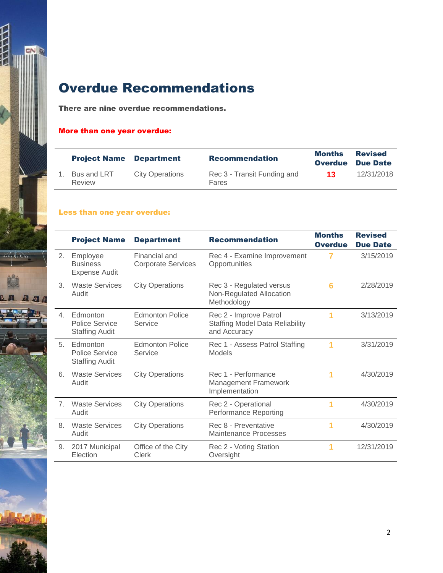

## Overdue Recommendations

There are nine overdue recommendations.

#### More than one year overdue:

| <b>Project Name</b>   | <b>Department</b>      | <b>Recommendation</b>                | <b>Months</b><br><b>Overdue</b> | <b>Revised</b><br><b>Due Date</b> |
|-----------------------|------------------------|--------------------------------------|---------------------------------|-----------------------------------|
| Bus and LRT<br>Review | <b>City Operations</b> | Rec 3 - Transit Funding and<br>Fares | 13                              | 12/31/2018                        |

#### Less than one year overdue:

|                | <b>Project Name</b>                                        | <b>Department</b>                          | <b>Recommendation</b>                                                            | <b>Months</b><br><b>Overdue</b> | <b>Revised</b><br><b>Due Date</b> |
|----------------|------------------------------------------------------------|--------------------------------------------|----------------------------------------------------------------------------------|---------------------------------|-----------------------------------|
| 2.             | Employee<br><b>Business</b><br><b>Expense Audit</b>        | Financial and<br><b>Corporate Services</b> | Rec 4 - Examine Improvement<br>Opportunities                                     | 7                               | 3/15/2019                         |
| 3.             | <b>Waste Services</b><br>Audit                             | <b>City Operations</b>                     | Rec 3 - Regulated versus<br>Non-Regulated Allocation<br>Methodology              | 6                               | 2/28/2019                         |
| $\overline{4}$ | Edmonton<br>Police Service<br><b>Staffing Audit</b>        | Edmonton Police<br>Service                 | Rec 2 - Improve Patrol<br><b>Staffing Model Data Reliability</b><br>and Accuracy | 1                               | 3/13/2019                         |
| 5              | Edmonton<br><b>Police Service</b><br><b>Staffing Audit</b> | <b>Edmonton Police</b><br>Service          | Rec 1 - Assess Patrol Staffing<br>Models                                         | 1                               | 3/31/2019                         |
| 6.             | <b>Waste Services</b><br>Audit                             | <b>City Operations</b>                     | Rec 1 - Performance<br><b>Management Framework</b><br>Implementation             |                                 | 4/30/2019                         |
| 7 <sub>1</sub> | <b>Waste Services</b><br>Audit                             | <b>City Operations</b>                     | Rec 2 - Operational<br><b>Performance Reporting</b>                              | 1                               | 4/30/2019                         |
| 8.             | <b>Waste Services</b><br>Audit                             | <b>City Operations</b>                     | Rec 8 - Preventative<br><b>Maintenance Processes</b>                             | 1                               | 4/30/2019                         |
| 9.             | 2017 Municipal<br>Election                                 | Office of the City<br><b>Clerk</b>         | Rec 2 - Voting Station<br>Oversight                                              | 1                               | 12/31/2019                        |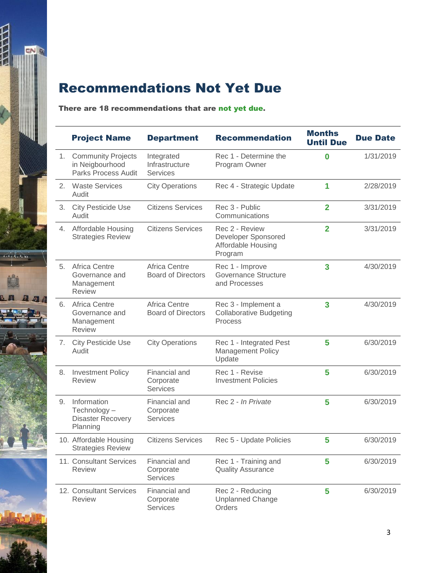

## Recommendations Not Yet Due

#### There are 18 recommendations that are not yet due.

|    | <b>Project Name</b>                                                 | <b>Department</b>                                 | <b>Recommendation</b>                                                  | <b>Months</b><br><b>Until Due</b> | <b>Due Date</b> |
|----|---------------------------------------------------------------------|---------------------------------------------------|------------------------------------------------------------------------|-----------------------------------|-----------------|
| 1. | <b>Community Projects</b><br>in Neigbourhood<br>Parks Process Audit | Integrated<br>Infrastructure<br><b>Services</b>   | Rec 1 - Determine the<br>Program Owner                                 | $\bf{0}$                          | 1/31/2019       |
| 2. | <b>Waste Services</b><br>Audit                                      | <b>City Operations</b>                            | Rec 4 - Strategic Update                                               | 1                                 | 2/28/2019       |
| 3. | <b>City Pesticide Use</b><br>Audit                                  | <b>Citizens Services</b>                          | Rec 3 - Public<br>Communications                                       | $\overline{2}$                    | 3/31/2019       |
|    | 4. Affordable Housing<br><b>Strategies Review</b>                   | <b>Citizens Services</b>                          | Rec 2 - Review<br>Developer Sponsored<br>Affordable Housing<br>Program | $\overline{2}$                    | 3/31/2019       |
| 5. | Africa Centre<br>Governance and<br>Management<br><b>Review</b>      | <b>Africa Centre</b><br><b>Board of Directors</b> | Rec 1 - Improve<br>Governance Structure<br>and Processes               | 3                                 | 4/30/2019       |
|    | 6. Africa Centre<br>Governance and<br>Management<br><b>Review</b>   | Africa Centre<br><b>Board of Directors</b>        | Rec 3 - Implement a<br><b>Collaborative Budgeting</b><br>Process       | 3                                 | 4/30/2019       |
| 7. | <b>City Pesticide Use</b><br>Audit                                  | <b>City Operations</b>                            | Rec 1 - Integrated Pest<br><b>Management Policy</b><br>Update          | 5                                 | 6/30/2019       |
| 8. | <b>Investment Policy</b><br><b>Review</b>                           | Financial and<br>Corporate<br><b>Services</b>     | Rec 1 - Revise<br><b>Investment Policies</b>                           | 5                                 | 6/30/2019       |
| 9. | Information<br>Technology-<br><b>Disaster Recovery</b><br>Planning  | Financial and<br>Corporate<br><b>Services</b>     | Rec 2 - In Private                                                     | 5                                 | 6/30/2019       |
|    | 10. Affordable Housing<br><b>Strategies Review</b>                  | <b>Citizens Services</b>                          | Rec 5 - Update Policies                                                | 5                                 | 6/30/2019       |
|    | 11. Consultant Services<br><b>Review</b>                            | Financial and<br>Corporate<br><b>Services</b>     | Rec 1 - Training and<br><b>Quality Assurance</b>                       | 5                                 | 6/30/2019       |
|    | 12. Consultant Services<br><b>Review</b>                            | Financial and<br>Corporate<br><b>Services</b>     | Rec 2 - Reducing<br><b>Unplanned Change</b><br>Orders                  | 5                                 | 6/30/2019       |